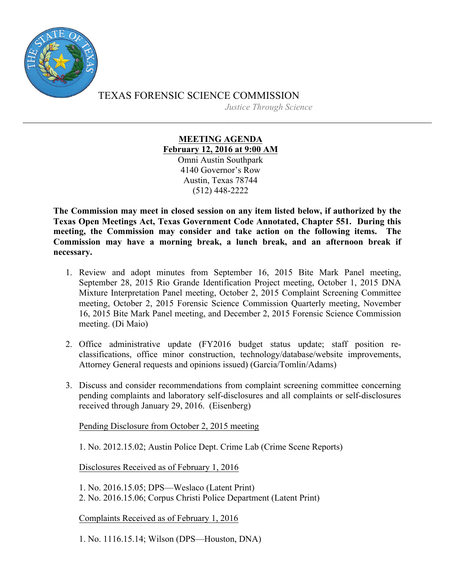

TEXAS FORENSIC SCIENCE COMMISSION *Justice Through Science*

> **MEETING AGENDA February 12, 2016 at 9:00 AM** Omni Austin Southpark 4140 Governor's Row Austin, Texas 78744 (512) 448-2222

**The Commission may meet in closed session on any item listed below, if authorized by the Texas Open Meetings Act, Texas Government Code Annotated, Chapter 551. During this meeting, the Commission may consider and take action on the following items. The Commission may have a morning break, a lunch break, and an afternoon break if necessary.**

- 1. Review and adopt minutes from September 16, 2015 Bite Mark Panel meeting, September 28, 2015 Rio Grande Identification Project meeting, October 1, 2015 DNA Mixture Interpretation Panel meeting, October 2, 2015 Complaint Screening Committee meeting, October 2, 2015 Forensic Science Commission Quarterly meeting, November 16, 2015 Bite Mark Panel meeting, and December 2, 2015 Forensic Science Commission meeting. (Di Maio)
- 2. Office administrative update (FY2016 budget status update; staff position reclassifications, office minor construction, technology/database/website improvements, Attorney General requests and opinions issued) (Garcia/Tomlin/Adams)
- 3. Discuss and consider recommendations from complaint screening committee concerning pending complaints and laboratory self-disclosures and all complaints or self-disclosures received through January 29, 2016. (Eisenberg)

Pending Disclosure from October 2, 2015 meeting

1. No. 2012.15.02; Austin Police Dept. Crime Lab (Crime Scene Reports)

Disclosures Received as of February 1, 2016

1. No. 2016.15.05; DPS—Weslaco (Latent Print)

2. No. 2016.15.06; Corpus Christi Police Department (Latent Print)

Complaints Received as of February 1, 2016

1. No. 1116.15.14; Wilson (DPS—Houston, DNA)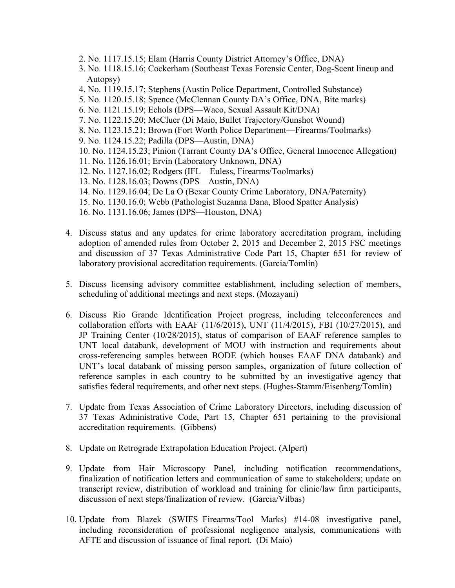- 2. No. 1117.15.15; Elam (Harris County District Attorney's Office, DNA)
- 3. No. 1118.15.16; Cockerham (Southeast Texas Forensic Center, Dog-Scent lineup and Autopsy)
- 4. No. 1119.15.17; Stephens (Austin Police Department, Controlled Substance)
- 5. No. 1120.15.18; Spence (McClennan County DA's Office, DNA, Bite marks)
- 6. No. 1121.15.19; Echols (DPS—Waco, Sexual Assault Kit/DNA)
- 7. No. 1122.15.20; McCluer (Di Maio, Bullet Trajectory/Gunshot Wound)
- 8. No. 1123.15.21; Brown (Fort Worth Police Department—Firearms/Toolmarks)
- 9. No. 1124.15.22; Padilla (DPS—Austin, DNA)
- 10. No. 1124.15.23; Pinion (Tarrant County DA's Office, General Innocence Allegation)
- 11. No. 1126.16.01; Ervin (Laboratory Unknown, DNA)
- 12. No. 1127.16.02; Rodgers (IFL—Euless, Firearms/Toolmarks)
- 13. No. 1128.16.03; Downs (DPS—Austin, DNA)
- 14. No. 1129.16.04; De La O (Bexar County Crime Laboratory, DNA/Paternity)
- 15. No. 1130.16.0; Webb (Pathologist Suzanna Dana, Blood Spatter Analysis)
- 16. No. 1131.16.06; James (DPS—Houston, DNA)
- 4. Discuss status and any updates for crime laboratory accreditation program, including adoption of amended rules from October 2, 2015 and December 2, 2015 FSC meetings and discussion of 37 Texas Administrative Code Part 15, Chapter 651 for review of laboratory provisional accreditation requirements. (Garcia/Tomlin)
- 5. Discuss licensing advisory committee establishment, including selection of members, scheduling of additional meetings and next steps. (Mozayani)
- 6. Discuss Rio Grande Identification Project progress, including teleconferences and collaboration efforts with EAAF (11/6/2015), UNT (11/4/2015), FBI (10/27/2015), and JP Training Center (10/28/2015), status of comparison of EAAF reference samples to UNT local databank, development of MOU with instruction and requirements about cross-referencing samples between BODE (which houses EAAF DNA databank) and UNT's local databank of missing person samples, organization of future collection of reference samples in each country to be submitted by an investigative agency that satisfies federal requirements, and other next steps. (Hughes-Stamm/Eisenberg/Tomlin)
- 7. Update from Texas Association of Crime Laboratory Directors, including discussion of 37 Texas Administrative Code, Part 15, Chapter 651 pertaining to the provisional accreditation requirements. (Gibbens)
- 8. Update on Retrograde Extrapolation Education Project. (Alpert)
- 9. Update from Hair Microscopy Panel, including notification recommendations, finalization of notification letters and communication of same to stakeholders; update on transcript review, distribution of workload and training for clinic/law firm participants, discussion of next steps/finalization of review. (Garcia/Vilbas)
- 10. Update from Blazek (SWIFS–Firearms/Tool Marks) #14-08 investigative panel, including reconsideration of professional negligence analysis, communications with AFTE and discussion of issuance of final report. (Di Maio)